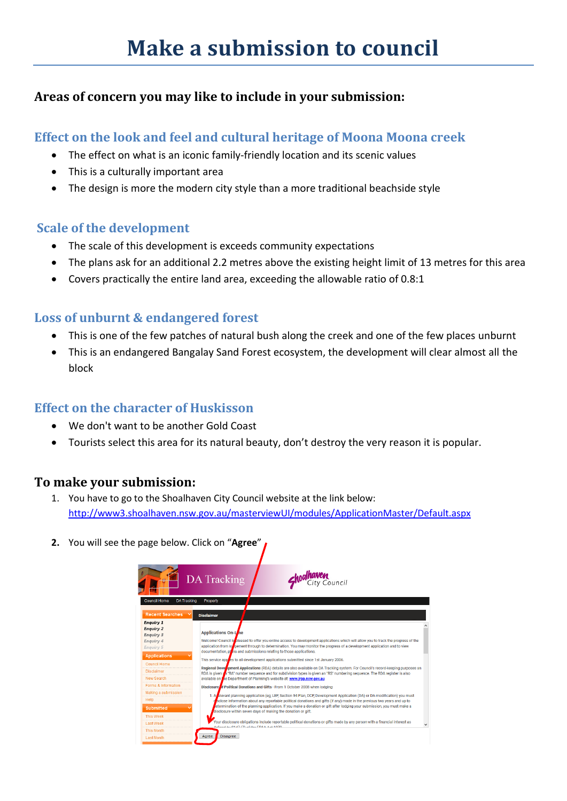# **Areas of concern you may like to include in your submission:**

## **Effect on the look and feel and cultural heritage of Moona Moona creek**

- The effect on what is an iconic family-friendly location and its scenic values
- This is a culturally important area
- The design is more the modern city style than a more traditional beachside style

### **Scale of the development**

- The scale of this development is exceeds community expectations
- The plans ask for an additional 2.2 metres above the existing height limit of 13 metres for this area
- Covers practically the entire land area, exceeding the allowable ratio of 0.8:1

## **Loss of unburnt & endangered forest**

- This is one of the few patches of natural bush along the creek and one of the few places unburnt
- This is an endangered Bangalay Sand Forest ecosystem, the development will clear almost all the block

## **Effect on the character of Huskisson**

- We don't want to be another Gold Coast
- Tourists select this area for its natural beauty, don't destroy the very reason it is popular.

## **To make your submission:**

- 1. You have to go to the Shoalhaven City Council website at the link below: [http://www3.shoalhaven.nsw.gov.au/masterviewUI/modules/ApplicationMaster/Default.aspx](http://www3.shoalhaven.nsw.gov.au/masterviewUI/modules/ApplicationMaster/Default.aspx?fbclid=IwAR2KXwugPP71bZAKMM7aOzXGSSU9c3rxRw8T7fJM4Y83n4b3cQoPAPC6cRs)
- **2.** You will see the page below. Click on "**Agree**"